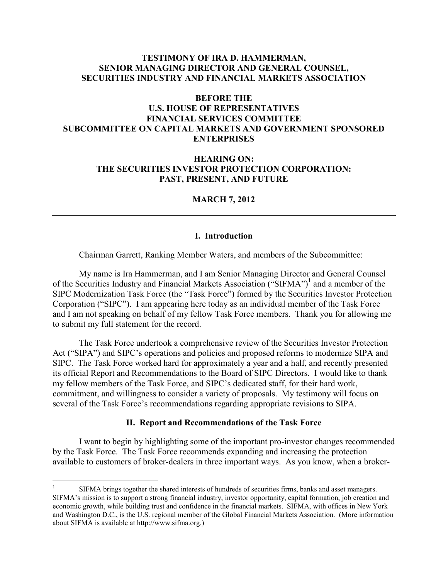# **TESTIMONY OF IRA D. HAMMERMAN, SENIOR MANAGING DIRECTOR AND GENERAL COUNSEL, SECURITIES INDUSTRY AND FINANCIAL MARKETS ASSOCIATION**

# **BEFORE THE U.S. HOUSE OF REPRESENTATIVES FINANCIAL SERVICES COMMITTEE SUBCOMMITTEE ON CAPITAL MARKETS AND GOVERNMENT SPONSORED ENTERPRISES**

# **HEARING ON: THE SECURITIES INVESTOR PROTECTION CORPORATION: PAST, PRESENT, AND FUTURE**

### **MARCH 7, 2012**

#### **I. Introduction**

Chairman Garrett, Ranking Member Waters, and members of the Subcommittee:

My name is Ira Hammerman, and I am Senior Managing Director and General Counsel of the Securities Industry and Financial Markets Association ("SIFMA")<sup>1</sup> and a member of the SIPC Modernization Task Force (the "Task Force") formed by the Securities Investor Protection Corporation ("SIPC"). I am appearing here today as an individual member of the Task Force and I am not speaking on behalf of my fellow Task Force members. Thank you for allowing me to submit my full statement for the record.

The Task Force undertook a comprehensive review of the Securities Investor Protection Act ("SIPA") and SIPC's operations and policies and proposed reforms to modernize SIPA and SIPC. The Task Force worked hard for approximately a year and a half, and recently presented its official Report and Recommendations to the Board of SIPC Directors. I would like to thank my fellow members of the Task Force, and SIPC's dedicated staff, for their hard work, commitment, and willingness to consider a variety of proposals. My testimony will focus on several of the Task Force's recommendations regarding appropriate revisions to SIPA.

# **II. Report and Recommendations of the Task Force**

I want to begin by highlighting some of the important pro-investor changes recommended by the Task Force. The Task Force recommends expanding and increasing the protection available to customers of broker-dealers in three important ways. As you know, when a broker-

-

<sup>1</sup> SIFMA brings together the shared interests of hundreds of securities firms, banks and asset managers. SIFMA's mission is to support a strong financial industry, investor opportunity, capital formation, job creation and economic growth, while building trust and confidence in the financial markets. SIFMA, with offices in New York and Washington D.C., is the U.S. regional member of the Global Financial Markets Association. (More information about SIFMA is available at http://www.sifma.org.)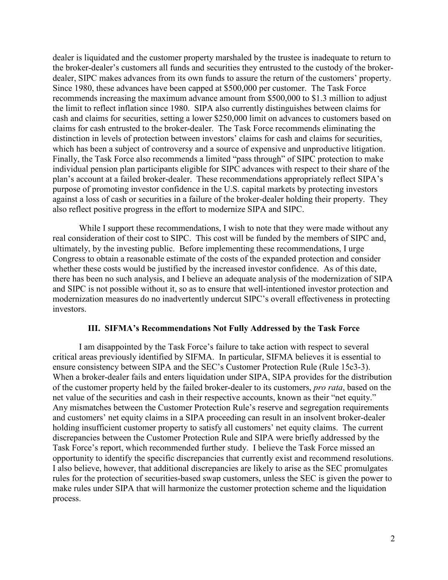dealer is liquidated and the customer property marshaled by the trustee is inadequate to return to the broker-dealer's customers all funds and securities they entrusted to the custody of the brokerdealer, SIPC makes advances from its own funds to assure the return of the customers' property. Since 1980, these advances have been capped at \$500,000 per customer. The Task Force recommends increasing the maximum advance amount from \$500,000 to \$1.3 million to adjust the limit to reflect inflation since 1980. SIPA also currently distinguishes between claims for cash and claims for securities, setting a lower \$250,000 limit on advances to customers based on claims for cash entrusted to the broker-dealer. The Task Force recommends eliminating the distinction in levels of protection between investors' claims for cash and claims for securities, which has been a subject of controversy and a source of expensive and unproductive litigation. Finally, the Task Force also recommends a limited "pass through" of SIPC protection to make individual pension plan participants eligible for SIPC advances with respect to their share of the plan's account at a failed broker-dealer. These recommendations appropriately reflect SIPA's purpose of promoting investor confidence in the U.S. capital markets by protecting investors against a loss of cash or securities in a failure of the broker-dealer holding their property. They also reflect positive progress in the effort to modernize SIPA and SIPC.

While I support these recommendations, I wish to note that they were made without any real consideration of their cost to SIPC. This cost will be funded by the members of SIPC and, ultimately, by the investing public. Before implementing these recommendations, I urge Congress to obtain a reasonable estimate of the costs of the expanded protection and consider whether these costs would be justified by the increased investor confidence. As of this date, there has been no such analysis, and I believe an adequate analysis of the modernization of SIPA and SIPC is not possible without it, so as to ensure that well-intentioned investor protection and modernization measures do no inadvertently undercut SIPC's overall effectiveness in protecting investors.

#### **III. SIFMA's Recommendations Not Fully Addressed by the Task Force**

I am disappointed by the Task Force's failure to take action with respect to several critical areas previously identified by SIFMA. In particular, SIFMA believes it is essential to ensure consistency between SIPA and the SEC's Customer Protection Rule (Rule 15c3-3). When a broker-dealer fails and enters liquidation under SIPA, SIPA provides for the distribution of the customer property held by the failed broker-dealer to its customers, *pro rata*, based on the net value of the securities and cash in their respective accounts, known as their "net equity." Any mismatches between the Customer Protection Rule's reserve and segregation requirements and customers' net equity claims in a SIPA proceeding can result in an insolvent broker-dealer holding insufficient customer property to satisfy all customers' net equity claims. The current discrepancies between the Customer Protection Rule and SIPA were briefly addressed by the Task Force's report, which recommended further study. I believe the Task Force missed an opportunity to identify the specific discrepancies that currently exist and recommend resolutions. I also believe, however, that additional discrepancies are likely to arise as the SEC promulgates rules for the protection of securities-based swap customers, unless the SEC is given the power to make rules under SIPA that will harmonize the customer protection scheme and the liquidation process.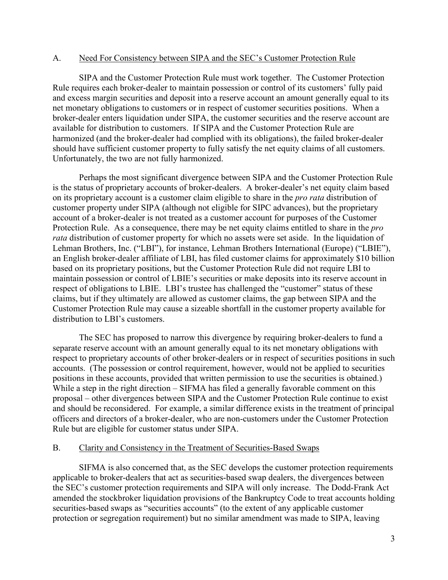#### A. Need For Consistency between SIPA and the SEC's Customer Protection Rule

SIPA and the Customer Protection Rule must work together. The Customer Protection Rule requires each broker-dealer to maintain possession or control of its customers' fully paid and excess margin securities and deposit into a reserve account an amount generally equal to its net monetary obligations to customers or in respect of customer securities positions. When a broker-dealer enters liquidation under SIPA, the customer securities and the reserve account are available for distribution to customers. If SIPA and the Customer Protection Rule are harmonized (and the broker-dealer had complied with its obligations), the failed broker-dealer should have sufficient customer property to fully satisfy the net equity claims of all customers. Unfortunately, the two are not fully harmonized.

Perhaps the most significant divergence between SIPA and the Customer Protection Rule is the status of proprietary accounts of broker-dealers. A broker-dealer's net equity claim based on its proprietary account is a customer claim eligible to share in the *pro rata* distribution of customer property under SIPA (although not eligible for SIPC advances), but the proprietary account of a broker-dealer is not treated as a customer account for purposes of the Customer Protection Rule. As a consequence, there may be net equity claims entitled to share in the *pro rata* distribution of customer property for which no assets were set aside. In the liquidation of Lehman Brothers, Inc. ("LBI"), for instance, Lehman Brothers International (Europe) ("LBIE"), an English broker-dealer affiliate of LBI, has filed customer claims for approximately \$10 billion based on its proprietary positions, but the Customer Protection Rule did not require LBI to maintain possession or control of LBIE's securities or make deposits into its reserve account in respect of obligations to LBIE. LBI's trustee has challenged the "customer" status of these claims, but if they ultimately are allowed as customer claims, the gap between SIPA and the Customer Protection Rule may cause a sizeable shortfall in the customer property available for distribution to LBI's customers.

The SEC has proposed to narrow this divergence by requiring broker-dealers to fund a separate reserve account with an amount generally equal to its net monetary obligations with respect to proprietary accounts of other broker-dealers or in respect of securities positions in such accounts. (The possession or control requirement, however, would not be applied to securities positions in these accounts, provided that written permission to use the securities is obtained.) While a step in the right direction – SIFMA has filed a generally favorable comment on this proposal – other divergences between SIPA and the Customer Protection Rule continue to exist and should be reconsidered. For example, a similar difference exists in the treatment of principal officers and directors of a broker-dealer, who are non-customers under the Customer Protection Rule but are eligible for customer status under SIPA.

### B. Clarity and Consistency in the Treatment of Securities-Based Swaps

SIFMA is also concerned that, as the SEC develops the customer protection requirements applicable to broker-dealers that act as securities-based swap dealers, the divergences between the SEC's customer protection requirements and SIPA will only increase. The Dodd-Frank Act amended the stockbroker liquidation provisions of the Bankruptcy Code to treat accounts holding securities-based swaps as "securities accounts" (to the extent of any applicable customer protection or segregation requirement) but no similar amendment was made to SIPA, leaving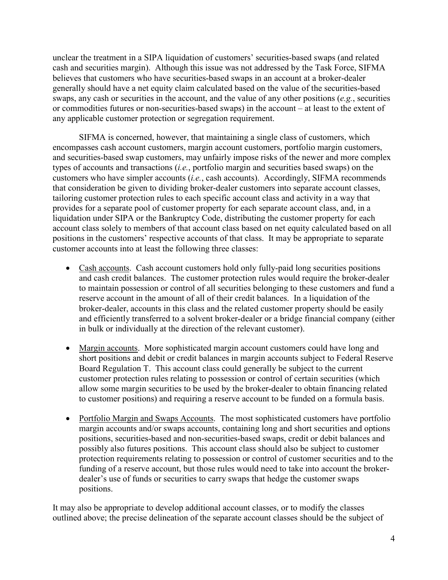unclear the treatment in a SIPA liquidation of customers' securities-based swaps (and related cash and securities margin). Although this issue was not addressed by the Task Force, SIFMA believes that customers who have securities-based swaps in an account at a broker-dealer generally should have a net equity claim calculated based on the value of the securities-based swaps, any cash or securities in the account, and the value of any other positions (*e.g.*, securities or commodities futures or non-securities-based swaps) in the account – at least to the extent of any applicable customer protection or segregation requirement.

SIFMA is concerned, however, that maintaining a single class of customers, which encompasses cash account customers, margin account customers, portfolio margin customers, and securities-based swap customers, may unfairly impose risks of the newer and more complex types of accounts and transactions (*i.e.*, portfolio margin and securities based swaps) on the customers who have simpler accounts (*i.e.*, cash accounts). Accordingly, SIFMA recommends that consideration be given to dividing broker-dealer customers into separate account classes, tailoring customer protection rules to each specific account class and activity in a way that provides for a separate pool of customer property for each separate account class, and, in a liquidation under SIPA or the Bankruptcy Code, distributing the customer property for each account class solely to members of that account class based on net equity calculated based on all positions in the customers' respective accounts of that class. It may be appropriate to separate customer accounts into at least the following three classes:

- Cash accounts. Cash account customers hold only fully-paid long securities positions and cash credit balances. The customer protection rules would require the broker-dealer to maintain possession or control of all securities belonging to these customers and fund a reserve account in the amount of all of their credit balances. In a liquidation of the broker-dealer, accounts in this class and the related customer property should be easily and efficiently transferred to a solvent broker-dealer or a bridge financial company (either in bulk or individually at the direction of the relevant customer).
- Margin accounts. More sophisticated margin account customers could have long and short positions and debit or credit balances in margin accounts subject to Federal Reserve Board Regulation T. This account class could generally be subject to the current customer protection rules relating to possession or control of certain securities (which allow some margin securities to be used by the broker-dealer to obtain financing related to customer positions) and requiring a reserve account to be funded on a formula basis.
- Portfolio Margin and Swaps Accounts. The most sophisticated customers have portfolio margin accounts and/or swaps accounts, containing long and short securities and options positions, securities-based and non-securities-based swaps, credit or debit balances and possibly also futures positions. This account class should also be subject to customer protection requirements relating to possession or control of customer securities and to the funding of a reserve account, but those rules would need to take into account the brokerdealer's use of funds or securities to carry swaps that hedge the customer swaps positions.

It may also be appropriate to develop additional account classes, or to modify the classes outlined above; the precise delineation of the separate account classes should be the subject of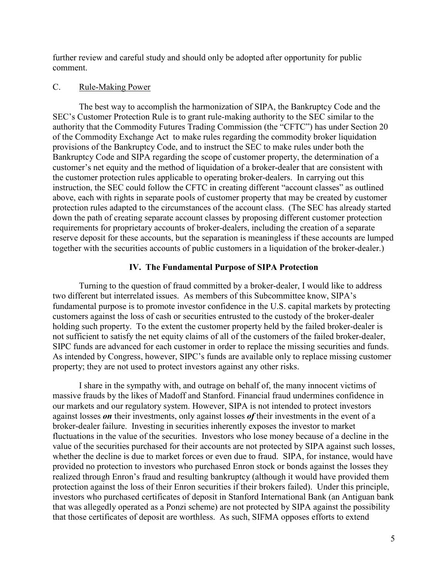further review and careful study and should only be adopted after opportunity for public comment.

### C. Rule-Making Power

The best way to accomplish the harmonization of SIPA, the Bankruptcy Code and the SEC's Customer Protection Rule is to grant rule-making authority to the SEC similar to the authority that the Commodity Futures Trading Commission (the "CFTC") has under Section 20 of the Commodity Exchange Act to make rules regarding the commodity broker liquidation provisions of the Bankruptcy Code, and to instruct the SEC to make rules under both the Bankruptcy Code and SIPA regarding the scope of customer property, the determination of a customer's net equity and the method of liquidation of a broker-dealer that are consistent with the customer protection rules applicable to operating broker-dealers. In carrying out this instruction, the SEC could follow the CFTC in creating different "account classes" as outlined above, each with rights in separate pools of customer property that may be created by customer protection rules adapted to the circumstances of the account class. (The SEC has already started down the path of creating separate account classes by proposing different customer protection requirements for proprietary accounts of broker-dealers, including the creation of a separate reserve deposit for these accounts, but the separation is meaningless if these accounts are lumped together with the securities accounts of public customers in a liquidation of the broker-dealer.)

#### **IV. The Fundamental Purpose of SIPA Protection**

Turning to the question of fraud committed by a broker-dealer, I would like to address two different but interrelated issues. As members of this Subcommittee know, SIPA's fundamental purpose is to promote investor confidence in the U.S. capital markets by protecting customers against the loss of cash or securities entrusted to the custody of the broker-dealer holding such property. To the extent the customer property held by the failed broker-dealer is not sufficient to satisfy the net equity claims of all of the customers of the failed broker-dealer, SIPC funds are advanced for each customer in order to replace the missing securities and funds. As intended by Congress, however, SIPC's funds are available only to replace missing customer property; they are not used to protect investors against any other risks.

I share in the sympathy with, and outrage on behalf of, the many innocent victims of massive frauds by the likes of Madoff and Stanford. Financial fraud undermines confidence in our markets and our regulatory system. However, SIPA is not intended to protect investors against losses *on* their investments, only against losses *of* their investments in the event of a broker-dealer failure. Investing in securities inherently exposes the investor to market fluctuations in the value of the securities. Investors who lose money because of a decline in the value of the securities purchased for their accounts are not protected by SIPA against such losses, whether the decline is due to market forces or even due to fraud. SIPA, for instance, would have provided no protection to investors who purchased Enron stock or bonds against the losses they realized through Enron's fraud and resulting bankruptcy (although it would have provided them protection against the loss of their Enron securities if their brokers failed). Under this principle, investors who purchased certificates of deposit in Stanford International Bank (an Antiguan bank that was allegedly operated as a Ponzi scheme) are not protected by SIPA against the possibility that those certificates of deposit are worthless. As such, SIFMA opposes efforts to extend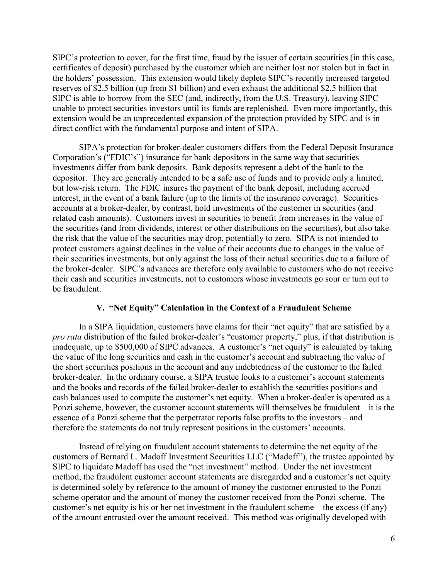SIPC's protection to cover, for the first time, fraud by the issuer of certain securities (in this case, certificates of deposit) purchased by the customer which are neither lost nor stolen but in fact in the holders' possession. This extension would likely deplete SIPC's recently increased targeted reserves of \$2.5 billion (up from \$1 billion) and even exhaust the additional \$2.5 billion that SIPC is able to borrow from the SEC (and, indirectly, from the U.S. Treasury), leaving SIPC unable to protect securities investors until its funds are replenished. Even more importantly, this extension would be an unprecedented expansion of the protection provided by SIPC and is in direct conflict with the fundamental purpose and intent of SIPA.

SIPA's protection for broker-dealer customers differs from the Federal Deposit Insurance Corporation's ("FDIC's") insurance for bank depositors in the same way that securities investments differ from bank deposits. Bank deposits represent a debt of the bank to the depositor. They are generally intended to be a safe use of funds and to provide only a limited, but low-risk return. The FDIC insures the payment of the bank deposit, including accrued interest, in the event of a bank failure (up to the limits of the insurance coverage). Securities accounts at a broker-dealer, by contrast, hold investments of the customer in securities (and related cash amounts). Customers invest in securities to benefit from increases in the value of the securities (and from dividends, interest or other distributions on the securities), but also take the risk that the value of the securities may drop, potentially to zero. SIPA is not intended to protect customers against declines in the value of their accounts due to changes in the value of their securities investments, but only against the loss of their actual securities due to a failure of the broker-dealer. SIPC's advances are therefore only available to customers who do not receive their cash and securities investments, not to customers whose investments go sour or turn out to be fraudulent.

# **V. "Net Equity" Calculation in the Context of a Fraudulent Scheme**

In a SIPA liquidation, customers have claims for their "net equity" that are satisfied by a *pro rata* distribution of the failed broker-dealer's "customer property," plus, if that distribution is inadequate, up to \$500,000 of SIPC advances. A customer's "net equity" is calculated by taking the value of the long securities and cash in the customer's account and subtracting the value of the short securities positions in the account and any indebtedness of the customer to the failed broker-dealer. In the ordinary course, a SIPA trustee looks to a customer's account statements and the books and records of the failed broker-dealer to establish the securities positions and cash balances used to compute the customer's net equity. When a broker-dealer is operated as a Ponzi scheme, however, the customer account statements will themselves be fraudulent – it is the essence of a Ponzi scheme that the perpetrator reports false profits to the investors – and therefore the statements do not truly represent positions in the customers' accounts.

Instead of relying on fraudulent account statements to determine the net equity of the customers of Bernard L. Madoff Investment Securities LLC ("Madoff"), the trustee appointed by SIPC to liquidate Madoff has used the "net investment" method. Under the net investment method, the fraudulent customer account statements are disregarded and a customer's net equity is determined solely by reference to the amount of money the customer entrusted to the Ponzi scheme operator and the amount of money the customer received from the Ponzi scheme. The customer's net equity is his or her net investment in the fraudulent scheme – the excess (if any) of the amount entrusted over the amount received. This method was originally developed with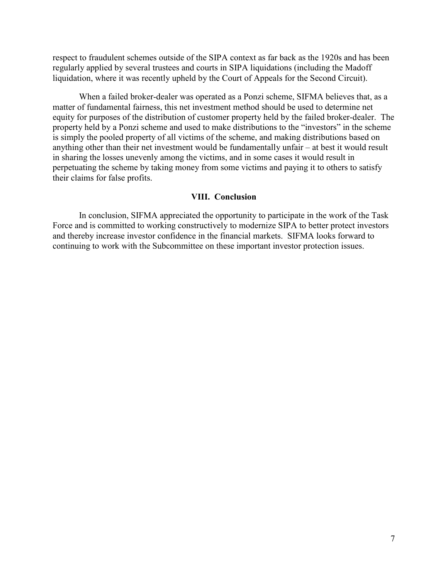respect to fraudulent schemes outside of the SIPA context as far back as the 1920s and has been regularly applied by several trustees and courts in SIPA liquidations (including the Madoff liquidation, where it was recently upheld by the Court of Appeals for the Second Circuit).

When a failed broker-dealer was operated as a Ponzi scheme, SIFMA believes that, as a matter of fundamental fairness, this net investment method should be used to determine net equity for purposes of the distribution of customer property held by the failed broker-dealer. The property held by a Ponzi scheme and used to make distributions to the "investors" in the scheme is simply the pooled property of all victims of the scheme, and making distributions based on anything other than their net investment would be fundamentally unfair – at best it would result in sharing the losses unevenly among the victims, and in some cases it would result in perpetuating the scheme by taking money from some victims and paying it to others to satisfy their claims for false profits.

#### **VIII. Conclusion**

In conclusion, SIFMA appreciated the opportunity to participate in the work of the Task Force and is committed to working constructively to modernize SIPA to better protect investors and thereby increase investor confidence in the financial markets. SIFMA looks forward to continuing to work with the Subcommittee on these important investor protection issues.